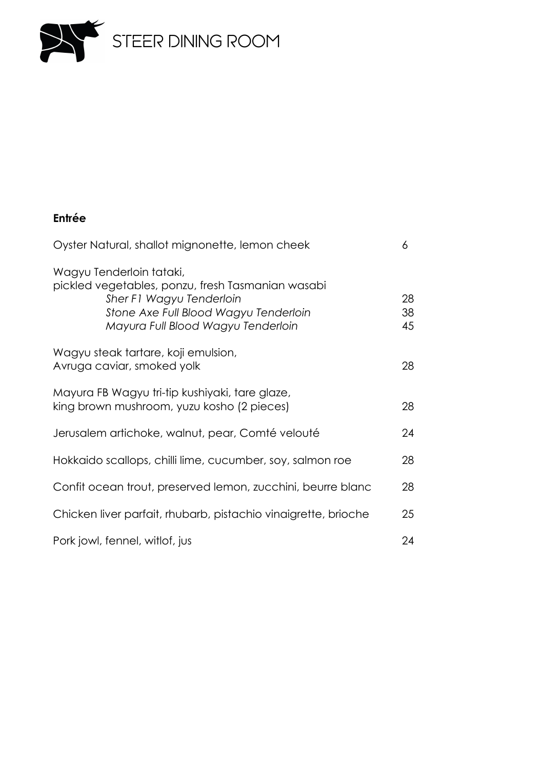

# **Entrée**

| Oyster Natural, shallot mignonette, lemon cheek                                                                                                                                          |                |  |
|------------------------------------------------------------------------------------------------------------------------------------------------------------------------------------------|----------------|--|
| Wagyu Tenderloin tataki,<br>pickled vegetables, ponzu, fresh Tasmanian wasabi<br>Sher F1 Wagyu Tenderloin<br>Stone Axe Full Blood Wagyu Tenderloin<br>Mayura Full Blood Wagyu Tenderloin | 28<br>38<br>45 |  |
| Wagyu steak tartare, koji emulsion,<br>Avruga caviar, smoked yolk                                                                                                                        | 28             |  |
| Mayura FB Wagyu tri-tip kushiyaki, tare glaze,<br>king brown mushroom, yuzu kosho (2 pieces)                                                                                             | 28             |  |
| Jerusalem artichoke, walnut, pear, Comté velouté                                                                                                                                         | 24             |  |
| Hokkaido scallops, chilli lime, cucumber, soy, salmon roe                                                                                                                                | 28             |  |
| Confit ocean trout, preserved lemon, zucchini, beurre blanc                                                                                                                              | 28             |  |
| Chicken liver parfait, rhubarb, pistachio vinaigrette, brioche                                                                                                                           | 25             |  |
| Pork jowl, fennel, witlof, jus                                                                                                                                                           | 24             |  |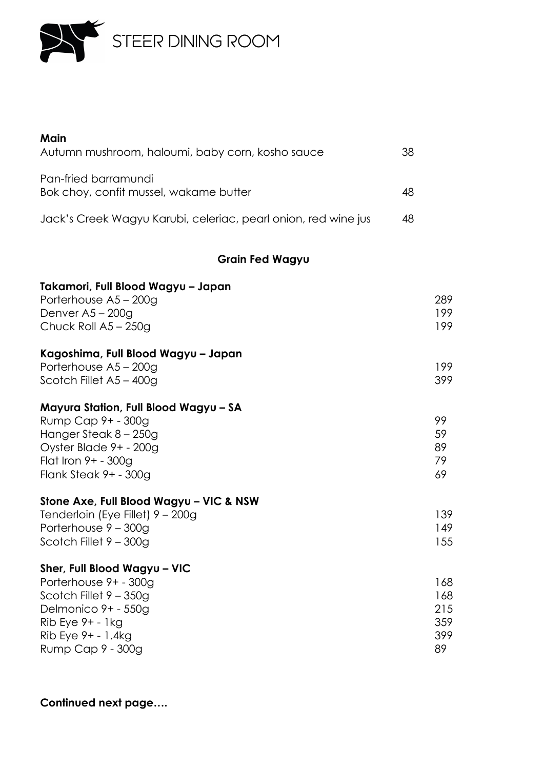

| Main<br>Autumn mushroom, haloumi, baby corn, kosho sauce                                                  | 38 |                   |
|-----------------------------------------------------------------------------------------------------------|----|-------------------|
| Pan-fried barramundi<br>Bok choy, confit mussel, wakame butter                                            | 48 |                   |
| Jack's Creek Wagyu Karubi, celeriac, pearl onion, red wine jus                                            | 48 |                   |
| <b>Grain Fed Wagyu</b>                                                                                    |    |                   |
| Takamori, Full Blood Wagyu - Japan<br>Porterhouse A5 - 200g<br>Denver $A5 - 200q$<br>Chuck Roll A5 - 250g |    | 289<br>199<br>199 |
| Kagoshima, Full Blood Wagyu - Japan                                                                       |    |                   |

| Porterhouse A5 – 200g   | 199 |
|-------------------------|-----|
| Scotch Fillet A5 - 400g | 399 |

# **Mayura Station, Full Blood Wagyu – SA**

| Rump Cap 9+ - 300g       | 99  |
|--------------------------|-----|
| Hanger Steak 8 – 250g    | .59 |
| Oyster Blade 9+ - 200g   | 89  |
| Flat Iron $9+ - 300$ g   | 79. |
| Flank Steak $9+ - 300$ g | 69. |

# **Stone Axe, Full Blood Wagyu – VIC & NSW**

| Tenderloin (Eye Fillet) 9 – 200g | 139. |
|----------------------------------|------|
| Porterhouse 9 – 300g             | 149  |
| Scotch Fillet 9 – 300g           | 155  |

# **Sher, Full Blood Wagyu – VIC**

| Porterhouse 9+ - 300g    | 168 |
|--------------------------|-----|
| Scotch Fillet $9 - 350q$ | 168 |
| Delmonico 9+ - 550g      | 215 |
| $Rib$ Eye $9+ - 1kg$     | 359 |
| $Rib$ Eye $9+ - 1.4kg$   | 399 |
| Rump Cap 9 - 300g        | 89  |

### **Continued next page….**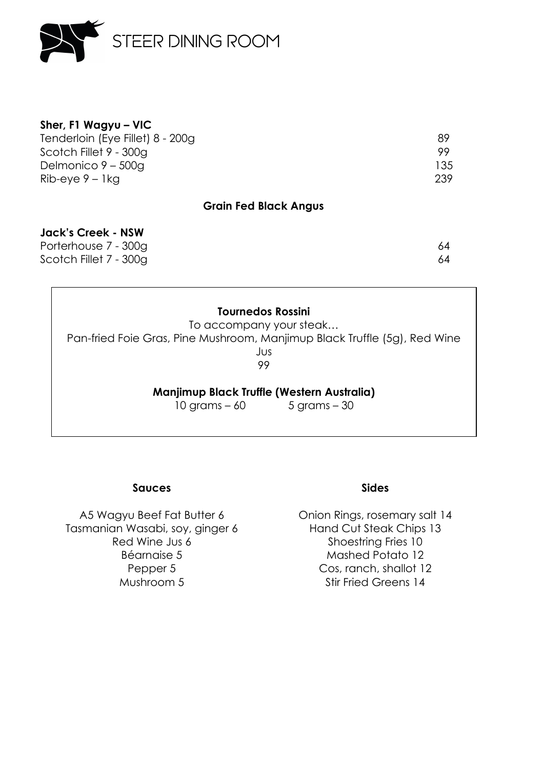

| 89  |
|-----|
| 99. |
| 135 |
| 239 |
|     |

#### **Grain Fed Black Angus**

#### **Jack's Creek - NSW**

Porterhouse 7 - 300g 64 Scotch Fillet 7 - 300g 64

#### **Tournedos Rossini**

To accompany your steak… Pan-fried Foie Gras, Pine Mushroom, Manjimup Black Truffle (5g), Red Wine Jus 99

**Manjimup Black Truffle (Western Australia)**

10 grams – 60 5 grams – 30

#### **Sauces**

A5 Wagyu Beef Fat Butter 6 Tasmanian Wasabi, soy, ginger 6 Red Wine Jus 6 Béarnaise 5 Pepper 5 Mushroom 5

#### **Sides**

Onion Rings, rosemary salt 14 Hand Cut Steak Chips 13 Shoestring Fries 10 Mashed Potato 12 Cos, ranch, shallot 12 Stir Fried Greens 14